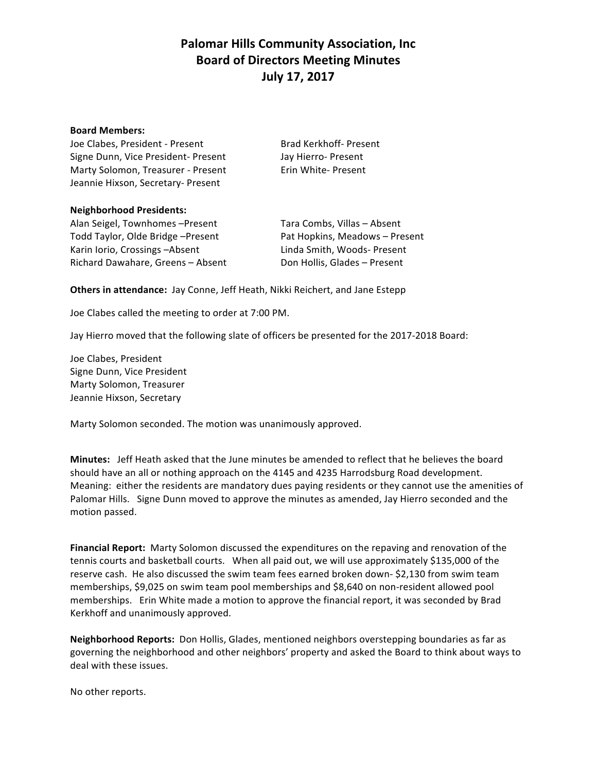# **Palomar Hills Community Association, Inc. Board of Directors Meeting Minutes July 17, 2017**

#### **Board Members:**

Joe Clabes, President - Present Brad Kerkhoff- Present Signe Dunn, Vice President- Present Jay Hierro- Present Marty Solomon, Treasurer - Present Erin White- Present Jeannie Hixson, Secretary- Present

#### **Neighborhood Presidents:**

Alan Seigel, Townhomes -Present Tara Combs, Villas - Absent Todd Taylor, Olde Bridge –Present **The Containery Pat Hopkins, Meadows** – Present Karin Iorio, Crossings -Absent Linda Smith, Woods- Present Richard Dawahare, Greens - Absent Don Hollis, Glades - Present

**Others in attendance:** Jay Conne, Jeff Heath, Nikki Reichert, and Jane Estepp

Joe Clabes called the meeting to order at 7:00 PM.

Jay Hierro moved that the following slate of officers be presented for the 2017-2018 Board:

Joe Clabes, President Signe Dunn, Vice President Marty Solomon, Treasurer Jeannie Hixson, Secretary

Marty Solomon seconded. The motion was unanimously approved.

**Minutes:** Jeff Heath asked that the June minutes be amended to reflect that he believes the board should have an all or nothing approach on the 4145 and 4235 Harrodsburg Road development. Meaning: either the residents are mandatory dues paying residents or they cannot use the amenities of Palomar Hills. Signe Dunn moved to approve the minutes as amended, Jay Hierro seconded and the motion passed.

**Financial Report:** Marty Solomon discussed the expenditures on the repaving and renovation of the tennis courts and basketball courts. When all paid out, we will use approximately \$135,000 of the reserve cash. He also discussed the swim team fees earned broken down- \$2,130 from swim team memberships, \$9,025 on swim team pool memberships and \$8,640 on non-resident allowed pool memberships. Erin White made a motion to approve the financial report, it was seconded by Brad Kerkhoff and unanimously approved.

**Neighborhood Reports:** Don Hollis, Glades, mentioned neighbors overstepping boundaries as far as governing the neighborhood and other neighbors' property and asked the Board to think about ways to deal with these issues.

No other reports.